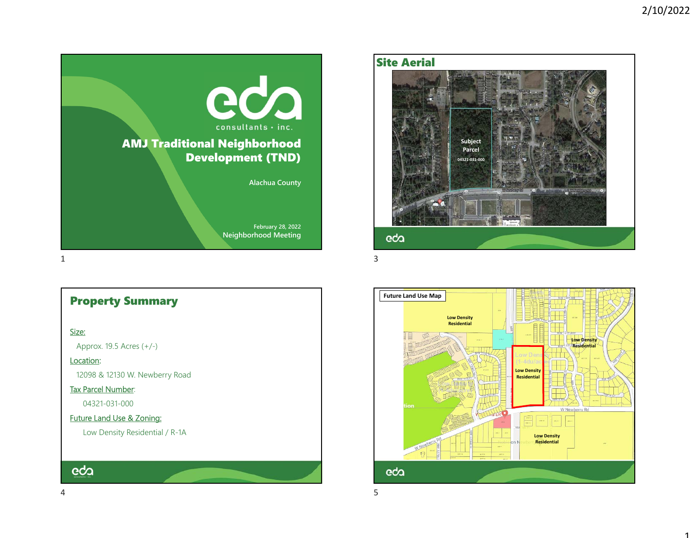

# Property Summary

#### <u>Size:</u>

Approx. 19.5 Acres (+/-)

### Location:

12098 & 12130 W. Newberry Road

### Tax Parcel Number:

04321-031-000

## Future Land Use & Zoning:

Low Density Residential / R-1A

# eda

## Site Aerial



**Future Land Use Map Low Density Residential Low Density Residential Low Density Residential** W Newberry Rd  $\frac{1}{2}$  and  $\epsilon_{\rm BDM}$ **Low Density Residential**eda

essential de la construction de la construction de la construction de la construction de la construction de la<br>Décrit de la construction de la construction de la construction de la construction de la construction de la co